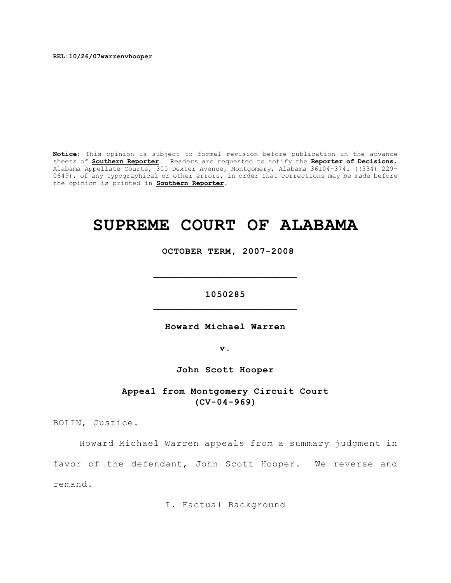**REL:10/26/07warrenvhooper**

**Notice:** This opinion is subject to formal revision before publication in the advance sheets of **Southern Reporter**. Readers are requested to notify the **Reporter of Decisions**, Alabama Appellate Courts, 300 Dexter Avenue, Montgomery, Alabama 36104-3741 ((334) 229- 0649), of any typographical or other errors, in order that corrections may be made before the opinion is printed in **Southern Reporter**.

# **SUPREME COURT OF ALABAMA**

 **OCTOBER TERM, 2007-2008**

**1050285 \_\_\_\_\_\_\_\_\_\_\_\_\_\_\_\_\_\_\_\_\_\_\_\_\_**

**\_\_\_\_\_\_\_\_\_\_\_\_\_\_\_\_\_\_\_\_\_\_\_\_\_**

**Howard Michael Warren**

**v.**

**John Scott Hooper**

**Appeal from Montgomery Circuit Court (CV-04-969)**

BOLIN, Justice.

Howard Michael Warren appeals from a summary judgment in favor of the defendant, John Scott Hooper. We reverse and remand.

I. Factual Background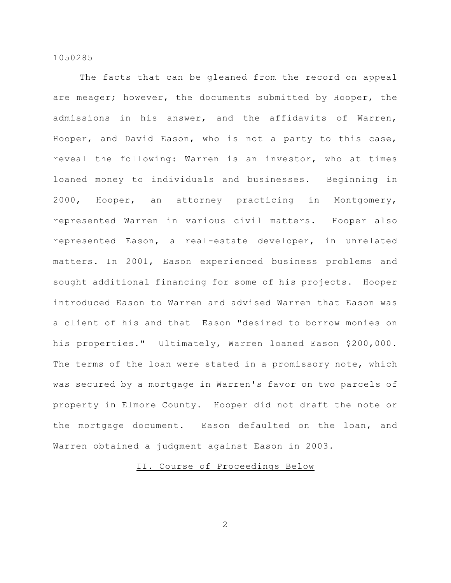The facts that can be gleaned from the record on appeal are meager; however, the documents submitted by Hooper, the admissions in his answer, and the affidavits of Warren, Hooper, and David Eason, who is not a party to this case, reveal the following: Warren is an investor, who at times loaned money to individuals and businesses. Beginning in 2000, Hooper, an attorney practicing in Montgomery, represented Warren in various civil matters. Hooper also represented Eason, a real-estate developer, in unrelated matters. In 2001, Eason experienced business problems and sought additional financing for some of his projects. Hooper introduced Eason to Warren and advised Warren that Eason was a client of his and that Eason "desired to borrow monies on his properties." Ultimately, Warren loaned Eason \$200,000. The terms of the loan were stated in a promissory note, which was secured by a mortgage in Warren's favor on two parcels of property in Elmore County. Hooper did not draft the note or the mortgage document. Eason defaulted on the loan, and Warren obtained a judgment against Eason in 2003.

# II. Course of Proceedings Below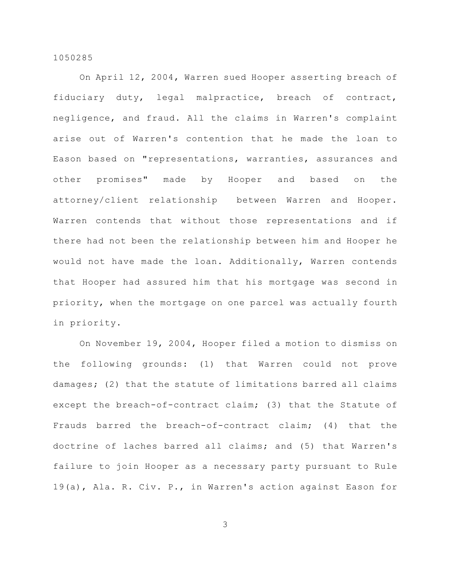On April 12, 2004, Warren sued Hooper asserting breach of fiduciary duty, legal malpractice, breach of contract, negligence, and fraud. All the claims in Warren's complaint arise out of Warren's contention that he made the loan to Eason based on "representations, warranties, assurances and other promises" made by Hooper and based on the attorney/client relationship between Warren and Hooper. Warren contends that without those representations and if there had not been the relationship between him and Hooper he would not have made the loan. Additionally, Warren contends that Hooper had assured him that his mortgage was second in priority, when the mortgage on one parcel was actually fourth in priority.

On November 19, 2004, Hooper filed a motion to dismiss on the following grounds: (1) that Warren could not prove damages; (2) that the statute of limitations barred all claims except the breach-of-contract claim; (3) that the Statute of Frauds barred the breach-of-contract claim; (4) that the doctrine of laches barred all claims; and (5) that Warren's failure to join Hooper as a necessary party pursuant to Rule 19(a), Ala. R. Civ. P., in Warren's action against Eason for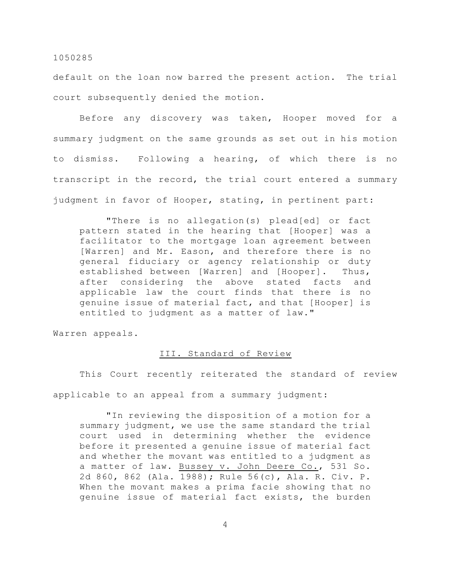default on the loan now barred the present action. The trial court subsequently denied the motion.

Before any discovery was taken, Hooper moved for a summary judgment on the same grounds as set out in his motion to dismiss. Following a hearing, of which there is no transcript in the record, the trial court entered a summary judgment in favor of Hooper, stating, in pertinent part:

"There is no allegation(s) plead[ed] or fact pattern stated in the hearing that [Hooper] was a facilitator to the mortgage loan agreement between [Warren] and Mr. Eason, and therefore there is no general fiduciary or agency relationship or duty established between [Warren] and [Hooper]. Thus, after considering the above stated facts and applicable law the court finds that there is no genuine issue of material fact, and that [Hooper] is entitled to judgment as a matter of law."

Warren appeals.

# III. Standard of Review

This Court recently reiterated the standard of review applicable to an appeal from a summary judgment:

"In reviewing the disposition of a motion for a summary judgment, we use the same standard the trial court used in determining whether the evidence before it presented a genuine issue of material fact and whether the movant was entitled to a judgment as a matter of law. Bussey v. John Deere Co., 531 So. 2d 860, 862 (Ala. 1988); Rule 56(c), Ala. R. Civ. P. When the movant makes a prima facie showing that no genuine issue of material fact exists, the burden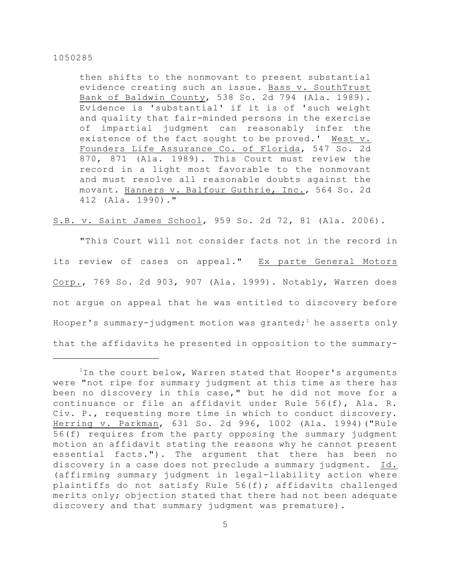then shifts to the nonmovant to present substantial evidence creating such an issue. Bass v. SouthTrust Bank of Baldwin County, 538 So. 2d 794 (Ala. 1989). Evidence is 'substantial' if it is of 'such weight and quality that fair-minded persons in the exercise of impartial judgment can reasonably infer the existence of the fact sought to be proved.' West v. Founders Life Assurance Co. of Florida, 547 So. 2d 870, 871 (Ala. 1989). This Court must review the record in a light most favorable to the nonmovant and must resolve all reasonable doubts against the movant. Hanners v. Balfour Guthrie, Inc., 564 So. 2d 412 (Ala. 1990)."

S.B. v. Saint James School, 959 So. 2d 72, 81 (Ala. 2006).

"This Court will not consider facts not in the record in its review of cases on appeal." Ex parte General Motors Corp., 769 So. 2d 903, 907 (Ala. 1999). Notably, Warren does not argue on appeal that he was entitled to discovery before Hooper's summary-judgment motion was granted; he asserts only that the affidavits he presented in opposition to the summary-

 $1$ In the court below, Warren stated that Hooper's arguments were "not ripe for summary judgment at this time as there has been no discovery in this case," but he did not move for a continuance or file an affidavit under Rule 56(f), Ala. R. Civ. P., requesting more time in which to conduct discovery. Herring v. Parkman, 631 So. 2d 996, 1002 (Ala. 1994)("Rule 56(f) requires from the party opposing the summary judgment motion an affidavit stating the reasons why he cannot present essential facts."). The argument that there has been no discovery in a case does not preclude a summary judgment. Id. (affirming summary judgment in legal-liability action where plaintiffs do not satisfy Rule 56(f); affidavits challenged merits only; objection stated that there had not been adequate discovery and that summary judgment was premature).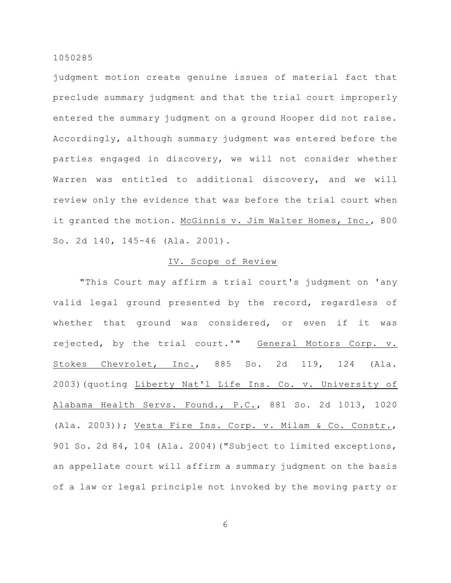judgment motion create genuine issues of material fact that preclude summary judgment and that the trial court improperly entered the summary judgment on a ground Hooper did not raise. Accordingly, although summary judgment was entered before the parties engaged in discovery, we will not consider whether Warren was entitled to additional discovery, and we will review only the evidence that was before the trial court when it granted the motion. McGinnis v. Jim Walter Homes, Inc., 800 So. 2d 140, 145-46 (Ala. 2001).

# IV. Scope of Review

"This Court may affirm a trial court's judgment on 'any valid legal ground presented by the record, regardless of whether that ground was considered, or even if it was rejected, by the trial court.'" General Motors Corp. v. Stokes Chevrolet, Inc., 885 So. 2d 119, 124 (Ala. 2003)(quoting Liberty Nat'l Life Ins. Co. v. University of Alabama Health Servs. Found., P.C., 881 So. 2d 1013, 1020 (Ala. 2003)); Vesta Fire Ins. Corp. v. Milam & Co. Constr., 901 So. 2d 84, 104 (Ala. 2004)("Subject to limited exceptions, an appellate court will affirm a summary judgment on the basis of a law or legal principle not invoked by the moving party or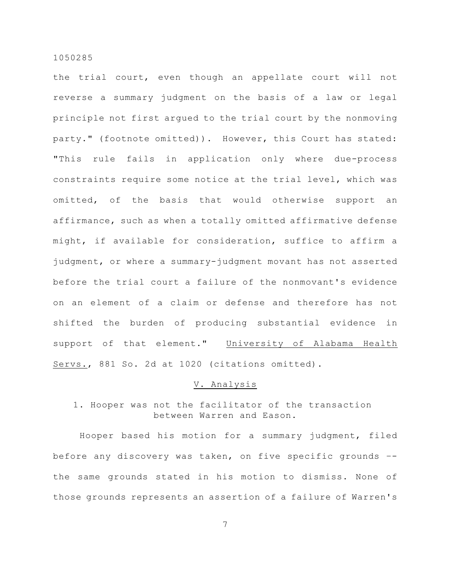the trial court, even though an appellate court will not reverse a summary judgment on the basis of a law or legal principle not first argued to the trial court by the nonmoving party." (footnote omitted)). However, this Court has stated: "This rule fails in application only where due-process constraints require some notice at the trial level, which was omitted, of the basis that would otherwise support an affirmance, such as when a totally omitted affirmative defense might, if available for consideration, suffice to affirm a judgment, or where a summary-judgment movant has not asserted before the trial court a failure of the nonmovant's evidence on an element of a claim or defense and therefore has not shifted the burden of producing substantial evidence in support of that element." University of Alabama Health Servs., 881 So. 2d at 1020 (citations omitted).

# V. Analysis

# 1. Hooper was not the facilitator of the transaction between Warren and Eason.

Hooper based his motion for a summary judgment, filed before any discovery was taken, on five specific grounds – the same grounds stated in his motion to dismiss. None of those grounds represents an assertion of a failure of Warren's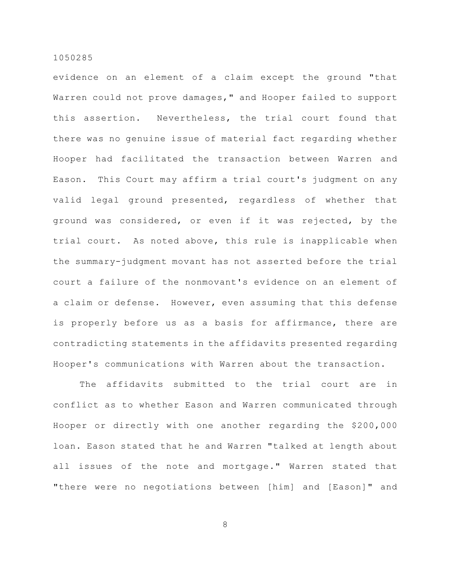evidence on an element of a claim except the ground "that Warren could not prove damages," and Hooper failed to support this assertion. Nevertheless, the trial court found that there was no genuine issue of material fact regarding whether Hooper had facilitated the transaction between Warren and Eason. This Court may affirm a trial court's judgment on any valid legal ground presented, regardless of whether that ground was considered, or even if it was rejected, by the trial court. As noted above, this rule is inapplicable when the summary-judgment movant has not asserted before the trial court a failure of the nonmovant's evidence on an element of a claim or defense. However, even assuming that this defense is properly before us as a basis for affirmance, there are contradicting statements in the affidavits presented regarding Hooper's communications with Warren about the transaction.

The affidavits submitted to the trial court are in conflict as to whether Eason and Warren communicated through Hooper or directly with one another regarding the \$200,000 loan. Eason stated that he and Warren "talked at length about all issues of the note and mortgage." Warren stated that "there were no negotiations between [him] and [Eason]" and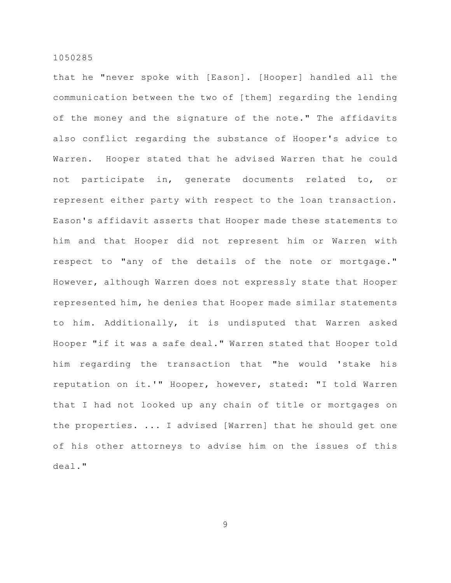that he "never spoke with [Eason]. [Hooper] handled all the communication between the two of [them] regarding the lending of the money and the signature of the note." The affidavits also conflict regarding the substance of Hooper's advice to Warren. Hooper stated that he advised Warren that he could not participate in, generate documents related to, or represent either party with respect to the loan transaction. Eason's affidavit asserts that Hooper made these statements to him and that Hooper did not represent him or Warren with respect to "any of the details of the note or mortgage." However, although Warren does not expressly state that Hooper represented him, he denies that Hooper made similar statements to him. Additionally, it is undisputed that Warren asked Hooper "if it was a safe deal." Warren stated that Hooper told him regarding the transaction that "he would 'stake his reputation on it.'" Hooper, however, stated: "I told Warren that I had not looked up any chain of title or mortgages on the properties. ... I advised [Warren] that he should get one of his other attorneys to advise him on the issues of this deal."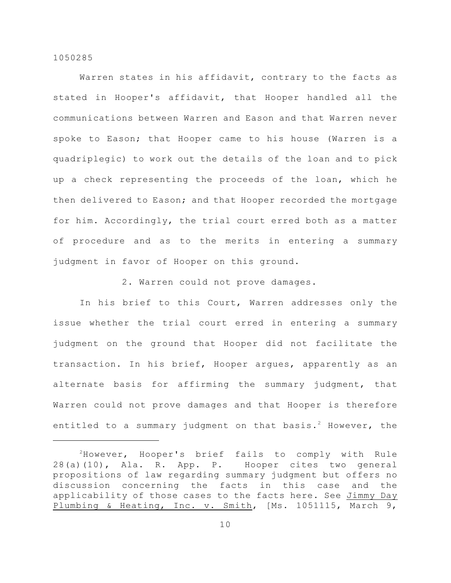Warren states in his affidavit, contrary to the facts as stated in Hooper's affidavit, that Hooper handled all the communications between Warren and Eason and that Warren never spoke to Eason; that Hooper came to his house (Warren is a quadriplegic) to work out the details of the loan and to pick up a check representing the proceeds of the loan, which he then delivered to Eason; and that Hooper recorded the mortgage for him. Accordingly, the trial court erred both as a matter of procedure and as to the merits in entering a summary judgment in favor of Hooper on this ground.

2. Warren could not prove damages.

In his brief to this Court, Warren addresses only the issue whether the trial court erred in entering a summary judgment on the ground that Hooper did not facilitate the transaction. In his brief, Hooper argues, apparently as an alternate basis for affirming the summary judgment, that Warren could not prove damages and that Hooper is therefore entitled to a summary judgment on that basis.<sup>2</sup> However, the

 $2$ However, Hooper's brief fails to comply with Rule 28(a)(10), Ala. R. App. P. Hooper cites two general propositions of law regarding summary judgment but offers no discussion concerning the facts in this case and the applicability of those cases to the facts here. See Jimmy Day Plumbing & Heating, Inc. v. Smith, [Ms. 1051115, March 9,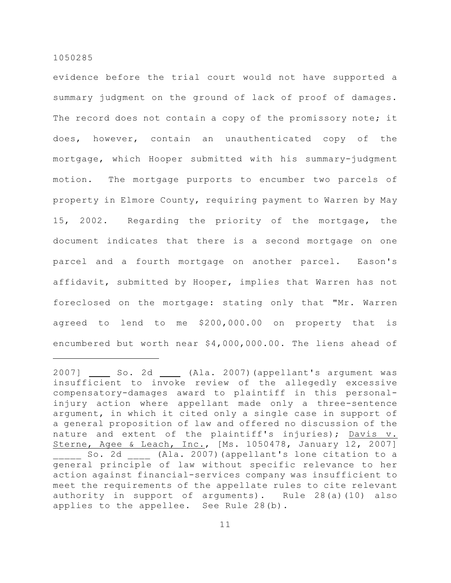evidence before the trial court would not have supported a summary judgment on the ground of lack of proof of damages. The record does not contain a copy of the promissory note; it does, however, contain an unauthenticated copy of the mortgage, which Hooper submitted with his summary-judgment motion. The mortgage purports to encumber two parcels of property in Elmore County, requiring payment to Warren by May 15, 2002. Regarding the priority of the mortgage, the document indicates that there is a second mortgage on one parcel and a fourth mortgage on another parcel. Eason's affidavit, submitted by Hooper, implies that Warren has not foreclosed on the mortgage: stating only that "Mr. Warren agreed to lend to me \$200,000.00 on property that is encumbered but worth near \$4,000,000.00. The liens ahead of

<sup>2007]</sup> \_\_\_\_\_ So. 2d \_\_\_\_ (Ala. 2007) (appellant's argument was insufficient to invoke review of the allegedly excessive compensatory-damages award to plaintiff in this personalinjury action where appellant made only a three-sentence argument, in which it cited only a single case in support of a general proposition of law and offered no discussion of the nature and extent of the plaintiff's injuries); Davis v. Sterne, Agee & Leach, Inc., [Ms. 1050478, January 12, 2007] so. 2d \_\_\_\_ (Ala. 2007) (appellant's lone citation to a general principle of law without specific relevance to her action against financial-services company was insufficient to meet the requirements of the appellate rules to cite relevant authority in support of arguments). Rule 28(a)(10) also applies to the appellee. See Rule 28(b).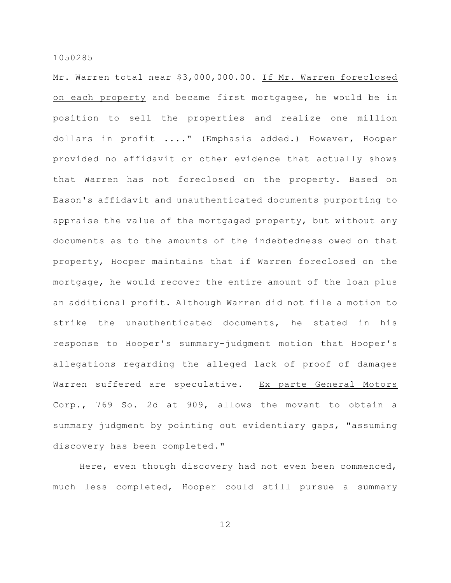Mr. Warren total near \$3,000,000.00. If Mr. Warren foreclosed on each property and became first mortgagee, he would be in position to sell the properties and realize one million dollars in profit ...." (Emphasis added.) However, Hooper provided no affidavit or other evidence that actually shows that Warren has not foreclosed on the property. Based on Eason's affidavit and unauthenticated documents purporting to appraise the value of the mortgaged property, but without any documents as to the amounts of the indebtedness owed on that property, Hooper maintains that if Warren foreclosed on the mortgage, he would recover the entire amount of the loan plus an additional profit. Although Warren did not file a motion to strike the unauthenticated documents, he stated in his response to Hooper's summary-judgment motion that Hooper's allegations regarding the alleged lack of proof of damages Warren suffered are speculative. Ex parte General Motors Corp., 769 So. 2d at 909, allows the movant to obtain a summary judgment by pointing out evidentiary gaps, "assuming discovery has been completed."

Here, even though discovery had not even been commenced, much less completed, Hooper could still pursue a summary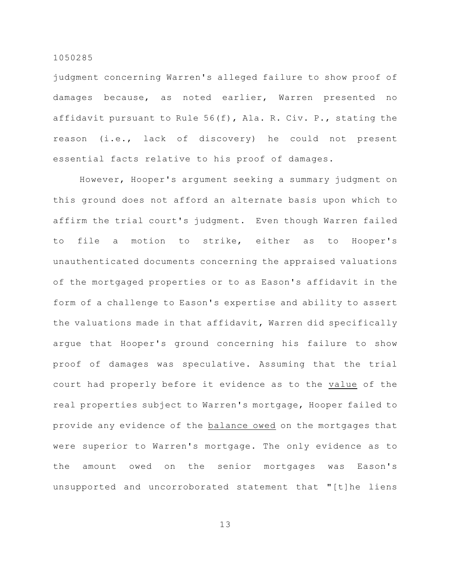judgment concerning Warren's alleged failure to show proof of damages because, as noted earlier, Warren presented no affidavit pursuant to Rule 56(f), Ala. R. Civ. P., stating the reason (i.e., lack of discovery) he could not present essential facts relative to his proof of damages.

However, Hooper's argument seeking a summary judgment on this ground does not afford an alternate basis upon which to affirm the trial court's judgment. Even though Warren failed to file a motion to strike, either as to Hooper's unauthenticated documents concerning the appraised valuations of the mortgaged properties or to as Eason's affidavit in the form of a challenge to Eason's expertise and ability to assert the valuations made in that affidavit, Warren did specifically argue that Hooper's ground concerning his failure to show proof of damages was speculative. Assuming that the trial court had properly before it evidence as to the value of the real properties subject to Warren's mortgage, Hooper failed to provide any evidence of the balance owed on the mortgages that were superior to Warren's mortgage. The only evidence as to the amount owed on the senior mortgages was Eason's unsupported and uncorroborated statement that "[t]he liens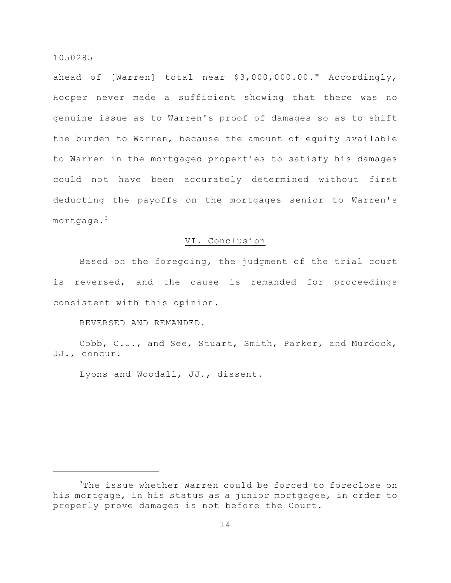ahead of [Warren] total near \$3,000,000.00." Accordingly, Hooper never made a sufficient showing that there was no genuine issue as to Warren's proof of damages so as to shift the burden to Warren, because the amount of equity available to Warren in the mortgaged properties to satisfy his damages could not have been accurately determined without first deducting the payoffs on the mortgages senior to Warren's mortgage.<sup>3</sup>

# VI. Conclusion

Based on the foregoing, the judgment of the trial court is reversed, and the cause is remanded for proceedings consistent with this opinion.

REVERSED AND REMANDED.

Cobb, C.J., and See, Stuart, Smith, Parker, and Murdock, JJ., concur.

Lyons and Woodall, JJ., dissent.

<sup>&</sup>lt;sup>3</sup>The issue whether Warren could be forced to foreclose on his mortgage, in his status as a junior mortgagee, in order to properly prove damages is not before the Court.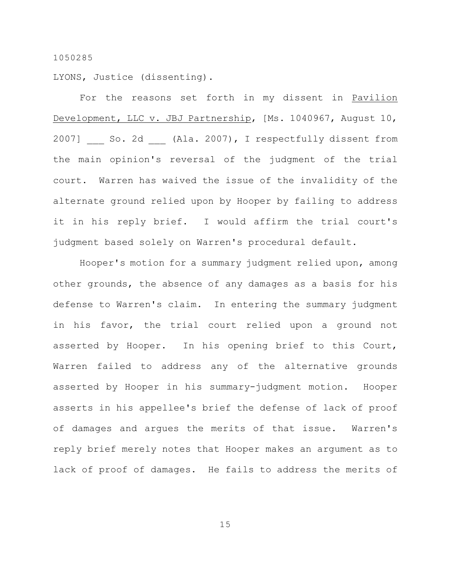LYONS, Justice (dissenting).

For the reasons set forth in my dissent in Pavilion Development, LLC v. JBJ Partnership, [Ms. 1040967, August 10, 2007] So. 2d (Ala. 2007), I respectfully dissent from the main opinion's reversal of the judgment of the trial court. Warren has waived the issue of the invalidity of the alternate ground relied upon by Hooper by failing to address it in his reply brief. I would affirm the trial court's judgment based solely on Warren's procedural default.

Hooper's motion for a summary judgment relied upon, among other grounds, the absence of any damages as a basis for his defense to Warren's claim. In entering the summary judgment in his favor, the trial court relied upon a ground not asserted by Hooper. In his opening brief to this Court, Warren failed to address any of the alternative grounds asserted by Hooper in his summary-judgment motion. Hooper asserts in his appellee's brief the defense of lack of proof of damages and argues the merits of that issue. Warren's reply brief merely notes that Hooper makes an argument as to lack of proof of damages. He fails to address the merits of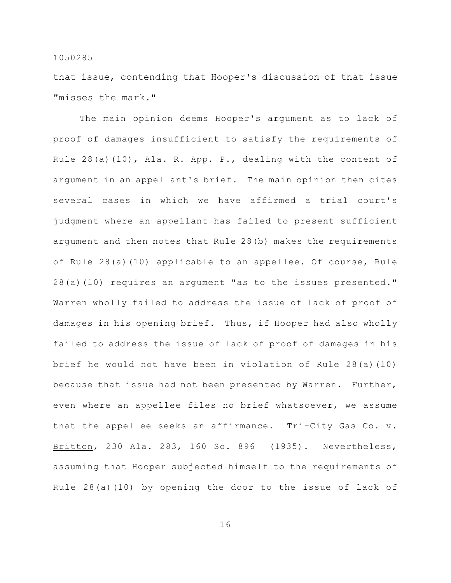that issue, contending that Hooper's discussion of that issue "misses the mark."

The main opinion deems Hooper's argument as to lack of proof of damages insufficient to satisfy the requirements of Rule  $28(a)(10)$ , Ala. R. App. P., dealing with the content of argument in an appellant's brief. The main opinion then cites several cases in which we have affirmed a trial court's judgment where an appellant has failed to present sufficient argument and then notes that Rule 28(b) makes the requirements of Rule 28(a)(10) applicable to an appellee. Of course, Rule 28(a)(10) requires an argument "as to the issues presented." Warren wholly failed to address the issue of lack of proof of damages in his opening brief. Thus, if Hooper had also wholly failed to address the issue of lack of proof of damages in his brief he would not have been in violation of Rule 28(a)(10) because that issue had not been presented by Warren. Further, even where an appellee files no brief whatsoever, we assume that the appellee seeks an affirmance. Tri-City Gas Co. v. Britton, 230 Ala. 283, 160 So. 896 (1935). Nevertheless, assuming that Hooper subjected himself to the requirements of Rule 28(a)(10) by opening the door to the issue of lack of